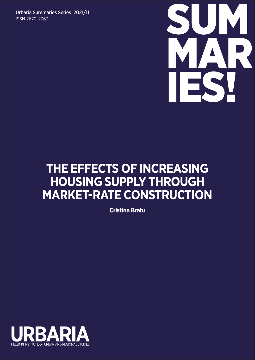ISSN 2670-2363



## **THE EFFECTS OF INCREASING HOUSING SUPPLY THROUGH MARKET-RATE CONSTRUCTION**

**Cristina Bratu**

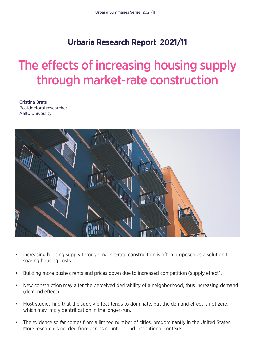## **Urbaria Research Report 2021/11**

# The effects of increasing housing supply through market-rate construction

Cristina Bratu Postdoctoral researcher Aalto University



- Increasing housing supply through market-rate construction is often proposed as a solution to soaring housing costs.
- Building more pushes rents and prices down due to increased competition (supply effect).
- New construction may alter the perceived desirability of a neighborhood, thus increasing demand (demand effect).
- Most studies find that the supply effect tends to dominate, but the demand effect is not zero. which may imply gentrification in the longer-run.
- The evidence so far comes from a limited number of cities, predominantly in the United States. More research is needed from across countries and institutional contexts.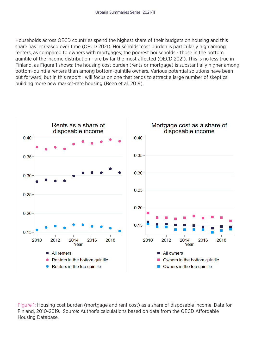Households across OECD countries spend the highest share of their budgets on housing and this share has increased over time (OECD 2021). Households' cost burden is particularly high among renters, as compared to owners with mortgages; the poorest households - those in the bottom quintile of the income distribution - are by far the most affected (OECD 2021). This is no less true in Finland, as Figure 1 shows: the housing cost burden (rents or mortgage) is substantially higher among bottom-quintile renters than among bottom-quintile owners. Various potential solutions have been put forward, but in this report I will focus on one that tends to attract a large number of skeptics: building more new market-rate housing (Been et al. 2019).



Figure 1: Housing cost burden (mortgage and rent cost) as a share of disposable income. Data for Finland, 2010-2019. Source: Author's calculations based on data from the OECD Affordable Housing Database.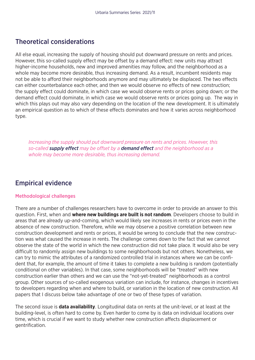## Theoretical considerations

All else equal, increasing the supply of housing should put downward pressure on rents and prices. However, this so-called supply effect may be offset by a demand effect: new units may attract higher-income households, new and improved amenities may follow, and the neighborhood as a whole may become more desirable, thus increasing demand. As a result, incumbent residents may not be able to afford their neighborhoods anymore and may ultimately be displaced. The two effects can either counterbalance each other, and then we would observe no effects of new construction; the supply effect could dominate, in which case we would observe rents or prices going down; or the demand effect could dominate, in which case we would observe rents or prices going up. The way in which this plays out may also vary depending on the location of the new development. It is ultimately an empirical question as to which of these effects dominates and how it varies across neighborhood type.

*Increasing the supply should put downward pressure on rents and prices. However, this so-called supply effect may be offset by a demand effect and the neighborhood as a whole may become more desirable, thus increasing demand.* 

## Empirical evidence

#### Methodological challenges

There are a number of challenges researchers have to overcome in order to provide an answer to this question. First, when and **where new buildings are built is not random**. Developers choose to build in areas that are already up-and-coming, which would likely see increases in rents or prices even in the absence of new construction. Therefore, while we may observe a positive correlation between new construction development and rents or prices, it would be wrong to conclude that the new construction was what caused the increase in rents. The challenge comes down to the fact that we cannot observe the state of the world in which the new construction did not take place. It would also be very difficult to randomly assign new buildings to some neighborhoods but not others. Nonetheless, we can try to mimic the attributes of a randomized controlled trial in instances where we can be confident that, for example, the amount of time it takes to complete a new building is random (potentially conditional on other variables). In that case, some neighborhoods will be "treated" with new construction earlier than others and we can use the "not-yet-treated" neighborhoods as a control group. Other sources of so-called exogenous variation can include, for instance, changes in incentives to developers regarding when and where to build, or variation in the location of new construction. All papers that I discuss below take advantage of one or two of these types of variation.

The second issue is **data availability**. Longitudinal data on rents at the unit-level, or at least at the building-level, is often hard to come by. Even harder to come by is data on individual locations over time, which is crucial if we want to study whether new construction affects displacement or gentrification.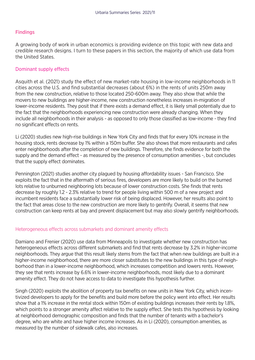#### **Findings**

A growing body of work in urban economics is providing evidence on this topic with new data and credible research designs. I turn to these papers in this section, the majority of which use data from the United States.

#### Dominant supply effects

Asquith et al. (2021) study the effect of new market-rate housing in low-income neighborhoods in 11 cities across the U.S. and find substantial decreases (about 6%) in the rents of units 250m away from the new construction, relative to those located 250-600m away. They also show that while the movers to new buildings are higher-income, new construction nonetheless increases in-migration of lower-income residents. They posit that if there exists a demand effect, it is likely small potentially due to the fact that the neighborhoods experiencing new construction were already changing. When they include all neighborhoods in their analysis - as opposed to only those classified as low-income - they find no significant effects on rents.

Li (2020) studies new high-rise buildings in New York City and finds that for every 10% increase in the housing stock, rents decrease by 1% within a 150m buffer. She also shows that more restaurants and cafes enter neighborhoods after the completion of new buildings. Therefore, she finds evidence for both the supply and the demand effect - as measured by the presence of consumption amenities -, but concludes that the supply effect dominates.

Pennington (2021) studies another city plagued by housing affordability issues - San Francisco. She exploits the fact that in the aftermath of serious fires, developers are more likely to build on the burned lots relative to unburned neighboring lots because of lower construction costs. She finds that rents decrease by roughly 1.2 - 2.3% relative to trend for people living within 500 m of a new project and incumbent residents face a substantially lower risk of being displaced. However, her results also point to the fact that areas close to the new construction are more likely to gentrify. Overall, it seems that new construction can keep rents at bay and prevent displacement but may also slowly gentrify neighborhoods.

#### Heterogeneous effects across submarkets and dominant amenity effects

Damiano and Frenier (2020) use data from Minneapolis to investigate whether new construction has heterogeneous effects across different submarkets and find that rents decrease by 3.2% in higher-income neighborhoods. They argue that this result likely stems from the fact that when new buildings are built in a higher-income neighborhood, there are more closer substitutes to the new buildings in this type of neighborhood than in a lower-income neighborhood, which increases competition and lowers rents. However, they see that rents increase by 6.6% in lower-income neighborhoods, most likely due to a dominant amenity effect. They do not have access to data to investigate this hypothesis further.

Singh (2020) exploits the abolition of property tax benefits on new units in New York City, which incentivized developers to apply for the benefits and build more before the policy went into effect. Her results show that a 1% increase in the rental stock within 150m of existing buildings increases their rents by 1.8%, which points to a stronger amenity affect relative to the supply effect. She tests this hypothesis by looking at neighborhood demographic composition and finds that the number of tenants with a bachelor's degree, who are white and have higher income increases. As in Li (2020), consumption amenities, as measured by the number of sidewalk cafes, also increases.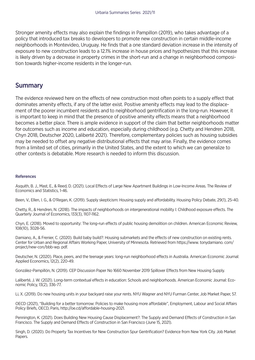Stronger amenity effects may also explain the findings in Pampillon (2019), who takes advantage of a policy that introduced tax breaks to developers to promote new construction in certain middle-income neighborhoods in Montevideo, Uruguay. He finds that a one standard deviation increase in the intensity of exposure to new construction leads to a 12.1% increase in house prices and hypothesizes that this increase is likely driven by a decrease in property crimes in the short-run and a change in neighborhood composition towards higher-income residents in the longer-run.

### **Summary**

The evidence reviewed here on the effects of new construction most often points to a supply effect that dominates amenity effects, if any of the latter exist. Positive amenity effects may lead to the displacement of the poorer incumbent residents and to neighborhood gentrification in the long-run. However, it is important to keep in mind that the presence of positive amenity effects means that a neighborhood becomes a better place. There is ample evidence in support of the claim that better neighborhoods matter for outcomes such as income and education, especially during childhood (e.g. Chetty and Hendren 2018, Chyn 2018, Deutscher 2020, Laliberté 2021). Therefore, complementary policies such as housing subsidies may be needed to offset any negative distributional effects that may arise. Finally, the evidence comes from a limited set of cities, primarily in the United States, and the extent to which we can generalize to other contexts is debatable. More research is needed to inform this discussion.

#### References

Asquith, B. J., Mast, E., & Reed, D. (2021). Local Effects of Large New Apartment Buildings in Low-Income Areas. The Review of Economics and Statistics, 1-46.

Been, V., Ellen, I. G., & O'Regan, K. (2019). Supply skepticism: Housing supply and affordability. Housing Policy Debate, 29(1), 25-40.

Chetty, R., & Hendren, N. (2018). The impacts of neighborhoods on intergenerational mobility I: Childhood exposure effects. The Quarterly Journal of Economics, 133(3), 1107-1162.

Chyn, E. (2018). Moved to opportunity: The long-run effects of public housing demolition on children. American Economic Review, 108(10), 3028-56.

Damiano, A., & Frenier, C. (2020). Build baby build?: Housing submarkets and the effects of new construction on existing rents. Center for Urban and Regional Affairs Working Paper, University of Minnesota. Retrieved from https://www. tonydamiano. com/ project/new-con/bbb-wp. pdf.

Deutscher, N. (2020). Place, peers, and the teenage years: long-run neighborhood effects in Australia. American Economic Journal: Applied Economics, 12(2), 220-49.

González-Pampillón, N. (2019). CEP Discussion Paper No 1660 November 2019 Spillover Effects from New Housing Supply.

Laliberté, J. W. (2021). Long-term contextual effects in education: Schools and neighborhoods. American Economic Journal: Economic Policy, 13(2), 336-77.

Li, X. (2019). Do new housing units in your backyard raise your rents. NYU Wagner and NYU Furman Center, Job Market Paper, 57.

OECD (2021), "Building for a better tomorrow: Policies to make housing more affordable", Employment, Labour and Social Affairs Policy Briefs, OECD, Paris, http://oe.cd/affordable-housing-2021.

Pennington, K. (2021). Does Building New Housing Cause Displacement?: The Supply and Demand Effects of Construction in San Francisco. The Supply and Demand Effects of Construction in San Francisco (June 15, 2021).

Singh, D. (2020). Do Property Tax Incentives for New Construction Spur Gentrification? Evidence from New York City. Job Market Papers.